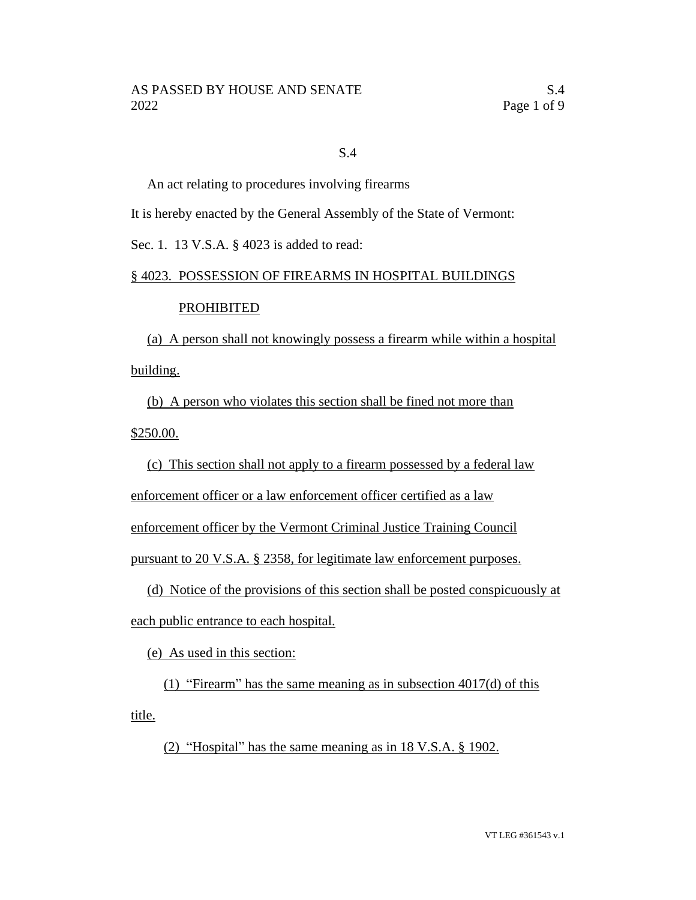### S.4

An act relating to procedures involving firearms

It is hereby enacted by the General Assembly of the State of Vermont:

Sec. 1. 13 V.S.A. § 4023 is added to read:

## § 4023. POSSESSION OF FIREARMS IN HOSPITAL BUILDINGS

## PROHIBITED

(a) A person shall not knowingly possess a firearm while within a hospital building.

(b) A person who violates this section shall be fined not more than \$250.00.

(c) This section shall not apply to a firearm possessed by a federal law

enforcement officer or a law enforcement officer certified as a law

enforcement officer by the Vermont Criminal Justice Training Council

pursuant to 20 V.S.A. § 2358, for legitimate law enforcement purposes.

(d) Notice of the provisions of this section shall be posted conspicuously at each public entrance to each hospital.

(e) As used in this section:

(1) "Firearm" has the same meaning as in subsection 4017(d) of this title.

(2) "Hospital" has the same meaning as in 18 V.S.A. § 1902.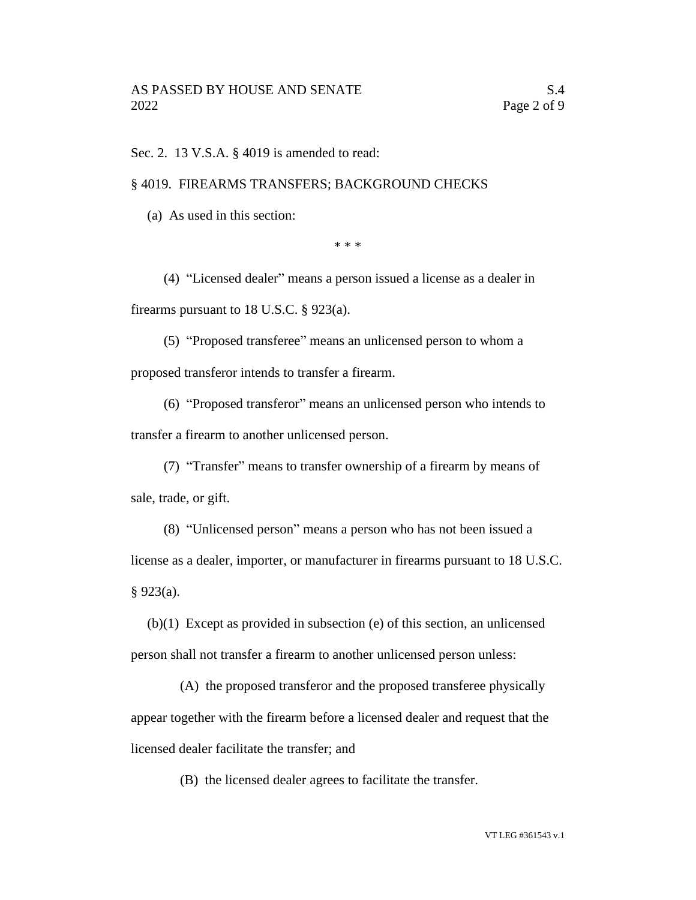Sec. 2. 13 V.S.A. § 4019 is amended to read:

#### § 4019. FIREARMS TRANSFERS; BACKGROUND CHECKS

(a) As used in this section:

\* \* \*

(4) "Licensed dealer" means a person issued a license as a dealer in firearms pursuant to 18 U.S.C. § 923(a).

(5) "Proposed transferee" means an unlicensed person to whom a proposed transferor intends to transfer a firearm.

(6) "Proposed transferor" means an unlicensed person who intends to transfer a firearm to another unlicensed person.

(7) "Transfer" means to transfer ownership of a firearm by means of sale, trade, or gift.

(8) "Unlicensed person" means a person who has not been issued a license as a dealer, importer, or manufacturer in firearms pursuant to 18 U.S.C. § 923(a).

(b)(1) Except as provided in subsection (e) of this section, an unlicensed person shall not transfer a firearm to another unlicensed person unless:

(A) the proposed transferor and the proposed transferee physically appear together with the firearm before a licensed dealer and request that the licensed dealer facilitate the transfer; and

(B) the licensed dealer agrees to facilitate the transfer.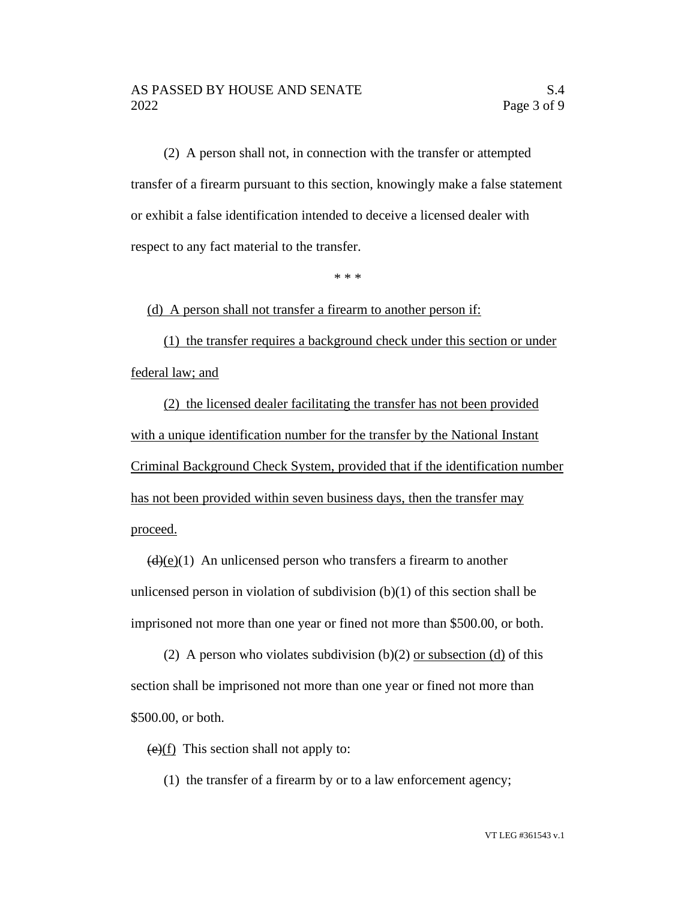(2) A person shall not, in connection with the transfer or attempted transfer of a firearm pursuant to this section, knowingly make a false statement or exhibit a false identification intended to deceive a licensed dealer with respect to any fact material to the transfer.

\* \* \*

(d) A person shall not transfer a firearm to another person if:

(1) the transfer requires a background check under this section or under federal law; and

(2) the licensed dealer facilitating the transfer has not been provided with a unique identification number for the transfer by the National Instant Criminal Background Check System, provided that if the identification number has not been provided within seven business days, then the transfer may proceed.

 $\left(\frac{d}{e}(e)(1)\right)$  An unlicensed person who transfers a firearm to another unlicensed person in violation of subdivision  $(b)(1)$  of this section shall be imprisoned not more than one year or fined not more than \$500.00, or both.

(2) A person who violates subdivision (b)(2) or subsection (d) of this section shall be imprisoned not more than one year or fined not more than \$500.00, or both.

 $(e)(f)$  This section shall not apply to:

(1) the transfer of a firearm by or to a law enforcement agency;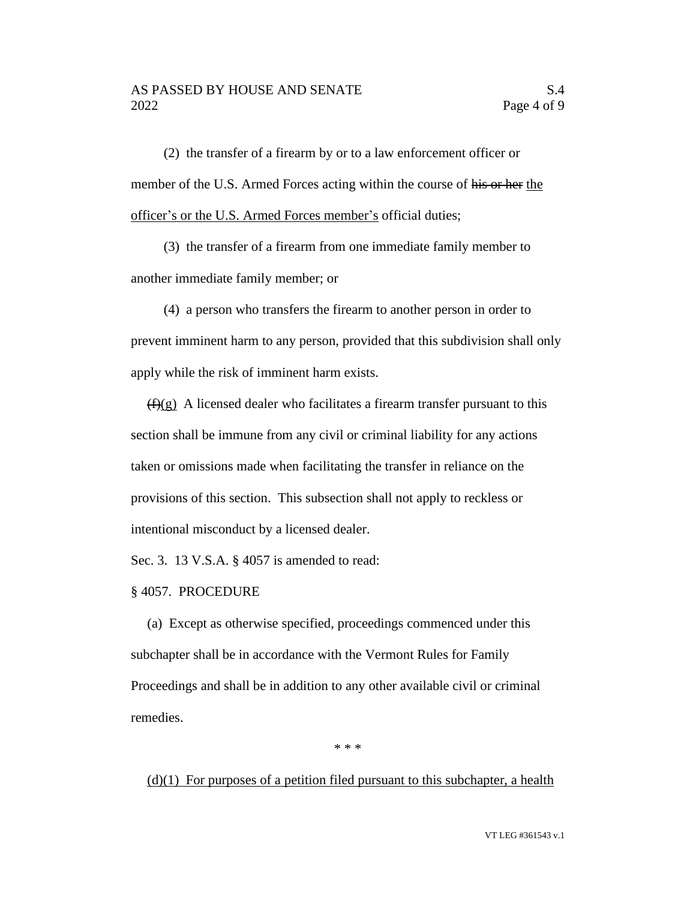#### AS PASSED BY HOUSE AND SENATE SAME SAME. 2022 Page 4 of 9

(2) the transfer of a firearm by or to a law enforcement officer or member of the U.S. Armed Forces acting within the course of his or her the officer's or the U.S. Armed Forces member's official duties;

(3) the transfer of a firearm from one immediate family member to another immediate family member; or

(4) a person who transfers the firearm to another person in order to prevent imminent harm to any person, provided that this subdivision shall only apply while the risk of imminent harm exists.

 $(f)(g)$  A licensed dealer who facilitates a firearm transfer pursuant to this section shall be immune from any civil or criminal liability for any actions taken or omissions made when facilitating the transfer in reliance on the provisions of this section. This subsection shall not apply to reckless or intentional misconduct by a licensed dealer.

Sec. 3. 13 V.S.A. § 4057 is amended to read:

§ 4057. PROCEDURE

(a) Except as otherwise specified, proceedings commenced under this subchapter shall be in accordance with the Vermont Rules for Family Proceedings and shall be in addition to any other available civil or criminal remedies.

\* \* \*

 $(d)(1)$  For purposes of a petition filed pursuant to this subchapter, a health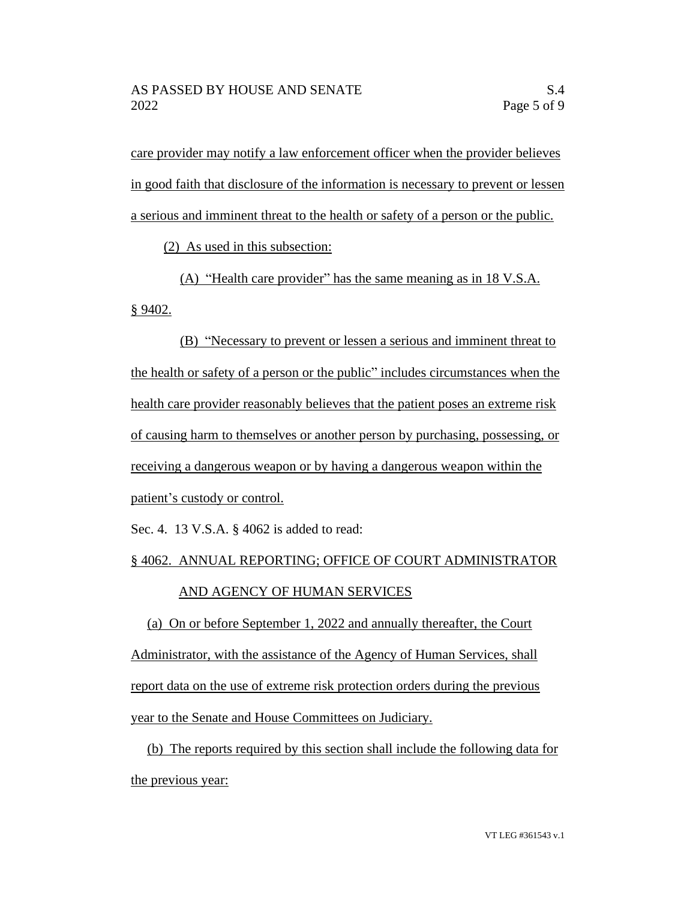care provider may notify a law enforcement officer when the provider believes in good faith that disclosure of the information is necessary to prevent or lessen a serious and imminent threat to the health or safety of a person or the public.

(2) As used in this subsection:

(A) "Health care provider" has the same meaning as in 18 V.S.A. § 9402.

(B) "Necessary to prevent or lessen a serious and imminent threat to the health or safety of a person or the public" includes circumstances when the health care provider reasonably believes that the patient poses an extreme risk of causing harm to themselves or another person by purchasing, possessing, or receiving a dangerous weapon or by having a dangerous weapon within the patient's custody or control.

Sec. 4. 13 V.S.A. § 4062 is added to read:

# § 4062. ANNUAL REPORTING; OFFICE OF COURT ADMINISTRATOR AND AGENCY OF HUMAN SERVICES

(a) On or before September 1, 2022 and annually thereafter, the Court Administrator, with the assistance of the Agency of Human Services, shall report data on the use of extreme risk protection orders during the previous year to the Senate and House Committees on Judiciary.

(b) The reports required by this section shall include the following data for the previous year: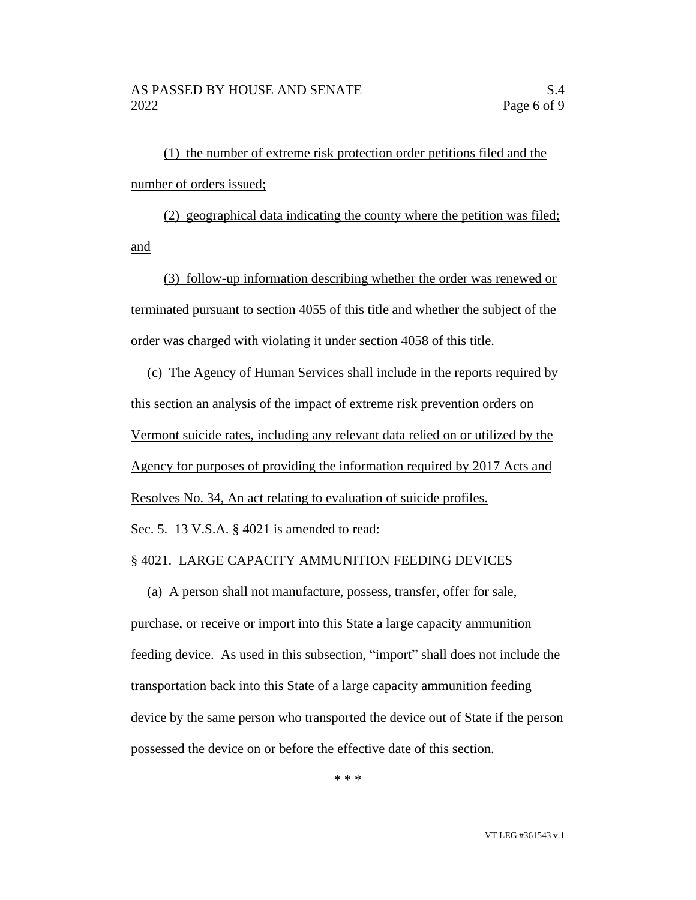(1) the number of extreme risk protection order petitions filed and the number of orders issued;

(2) geographical data indicating the county where the petition was filed; and

(3) follow-up information describing whether the order was renewed or terminated pursuant to section 4055 of this title and whether the subject of the order was charged with violating it under section 4058 of this title.

(c) The Agency of Human Services shall include in the reports required by this section an analysis of the impact of extreme risk prevention orders on Vermont suicide rates, including any relevant data relied on or utilized by the Agency for purposes of providing the information required by 2017 Acts and Resolves No. 34, An act relating to evaluation of suicide profiles.

Sec. 5. 13 V.S.A. § 4021 is amended to read:

#### § 4021. LARGE CAPACITY AMMUNITION FEEDING DEVICES

(a) A person shall not manufacture, possess, transfer, offer for sale, purchase, or receive or import into this State a large capacity ammunition feeding device. As used in this subsection, "import" shall does not include the transportation back into this State of a large capacity ammunition feeding device by the same person who transported the device out of State if the person possessed the device on or before the effective date of this section.

\* \* \*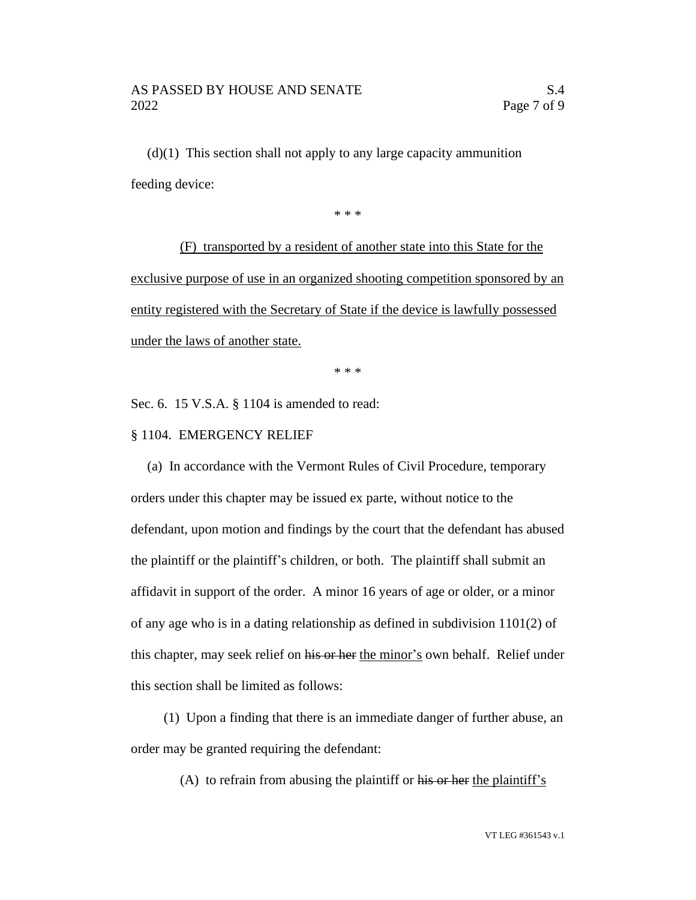$(d)(1)$  This section shall not apply to any large capacity ammunition feeding device:

\* \* \*

(F) transported by a resident of another state into this State for the exclusive purpose of use in an organized shooting competition sponsored by an entity registered with the Secretary of State if the device is lawfully possessed under the laws of another state.

\* \* \*

Sec. 6. 15 V.S.A. § 1104 is amended to read:

## § 1104. EMERGENCY RELIEF

(a) In accordance with the Vermont Rules of Civil Procedure, temporary orders under this chapter may be issued ex parte, without notice to the defendant, upon motion and findings by the court that the defendant has abused the plaintiff or the plaintiff's children, or both. The plaintiff shall submit an affidavit in support of the order. A minor 16 years of age or older, or a minor of any age who is in a dating relationship as defined in subdivision 1101(2) of this chapter, may seek relief on his or her the minor's own behalf. Relief under this section shall be limited as follows:

(1) Upon a finding that there is an immediate danger of further abuse, an order may be granted requiring the defendant:

(A) to refrain from abusing the plaintiff or his or her the plaintiff's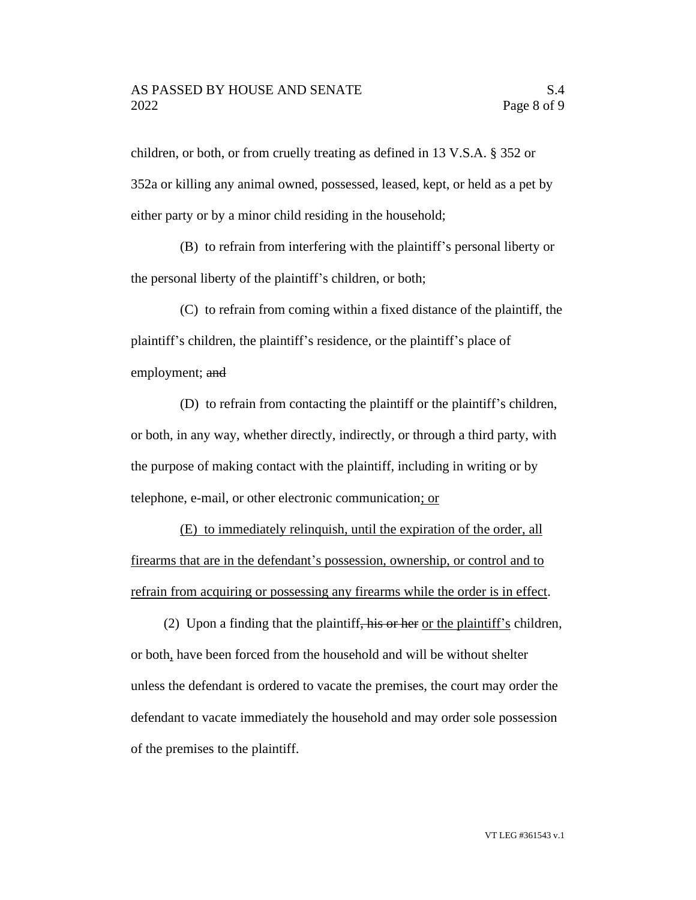children, or both, or from cruelly treating as defined in 13 V.S.A. § 352 or 352a or killing any animal owned, possessed, leased, kept, or held as a pet by either party or by a minor child residing in the household;

(B) to refrain from interfering with the plaintiff's personal liberty or the personal liberty of the plaintiff's children, or both;

(C) to refrain from coming within a fixed distance of the plaintiff, the plaintiff's children, the plaintiff's residence, or the plaintiff's place of employment; and

(D) to refrain from contacting the plaintiff or the plaintiff's children, or both, in any way, whether directly, indirectly, or through a third party, with the purpose of making contact with the plaintiff, including in writing or by telephone, e-mail, or other electronic communication; or

(E) to immediately relinquish, until the expiration of the order, all firearms that are in the defendant's possession, ownership, or control and to refrain from acquiring or possessing any firearms while the order is in effect.

(2) Upon a finding that the plaintiff, his or her or the plaintiff's children, or both, have been forced from the household and will be without shelter unless the defendant is ordered to vacate the premises, the court may order the defendant to vacate immediately the household and may order sole possession of the premises to the plaintiff.